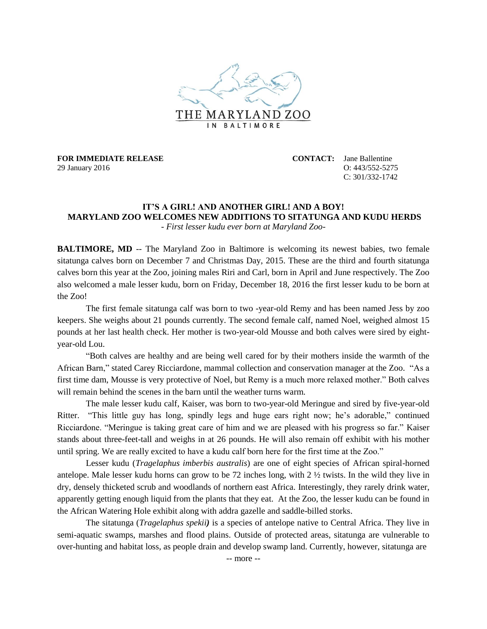

**FOR IMMEDIATE RELEASE CONTACT:** Jane Ballentine 29 January 2016 O: 443/552-5275

 $C: 301/332 - 1742$ 

## **IT'S A GIRL! AND ANOTHER GIRL! AND A BOY! MARYLAND ZOO WELCOMES NEW ADDITIONS TO SITATUNGA AND KUDU HERDS**

*- First lesser kudu ever born at Maryland Zoo-*

**BALTIMORE, MD** -- The Maryland Zoo in Baltimore is welcoming its newest babies, two female sitatunga calves born on December 7 and Christmas Day, 2015. These are the third and fourth sitatunga calves born this year at the Zoo, joining males Riri and Carl, born in April and June respectively. The Zoo also welcomed a male lesser kudu, born on Friday, December 18, 2016 the first lesser kudu to be born at the Zoo!

The first female sitatunga calf was born to two -year-old Remy and has been named Jess by zoo keepers. She weighs about 21 pounds currently. The second female calf, named Noel, weighed almost 15 pounds at her last health check. Her mother is two-year-old Mousse and both calves were sired by eightyear-old Lou.

"Both calves are healthy and are being well cared for by their mothers inside the warmth of the African Barn," stated Carey Ricciardone, mammal collection and conservation manager at the Zoo. "As a first time dam, Mousse is very protective of Noel, but Remy is a much more relaxed mother." Both calves will remain behind the scenes in the barn until the weather turns warm.

The male lesser kudu calf, Kaiser, was born to two-year-old Meringue and sired by five-year-old Ritter. "This little guy has long, spindly legs and huge ears right now; he's adorable," continued Ricciardone. "Meringue is taking great care of him and we are pleased with his progress so far." Kaiser stands about three-feet-tall and weighs in at 26 pounds. He will also remain off exhibit with his mother until spring. We are really excited to have a kudu calf born here for the first time at the Zoo."

Lesser kudu (*Tragelaphus imberbis australis*) are one of eight species of African spiral-horned antelope. Male lesser kudu horns can grow to be 72 inches long, with  $2 \frac{1}{2}$  twists. In the wild they live in dry, densely thicketed scrub and woodlands of northern east Africa. Interestingly, they rarely drink water, apparently getting enough liquid from the plants that they eat. At the Zoo, the lesser kudu can be found in the African Watering Hole exhibit along with addra gazelle and saddle-billed storks.

The sitatunga (*Tragelaphus spekii)* is a species of antelope native to Central Africa. They live in semi-aquatic swamps, marshes and flood plains. Outside of protected areas, sitatunga are vulnerable to over-hunting and habitat loss, as people drain and develop swamp land. Currently, however, sitatunga are